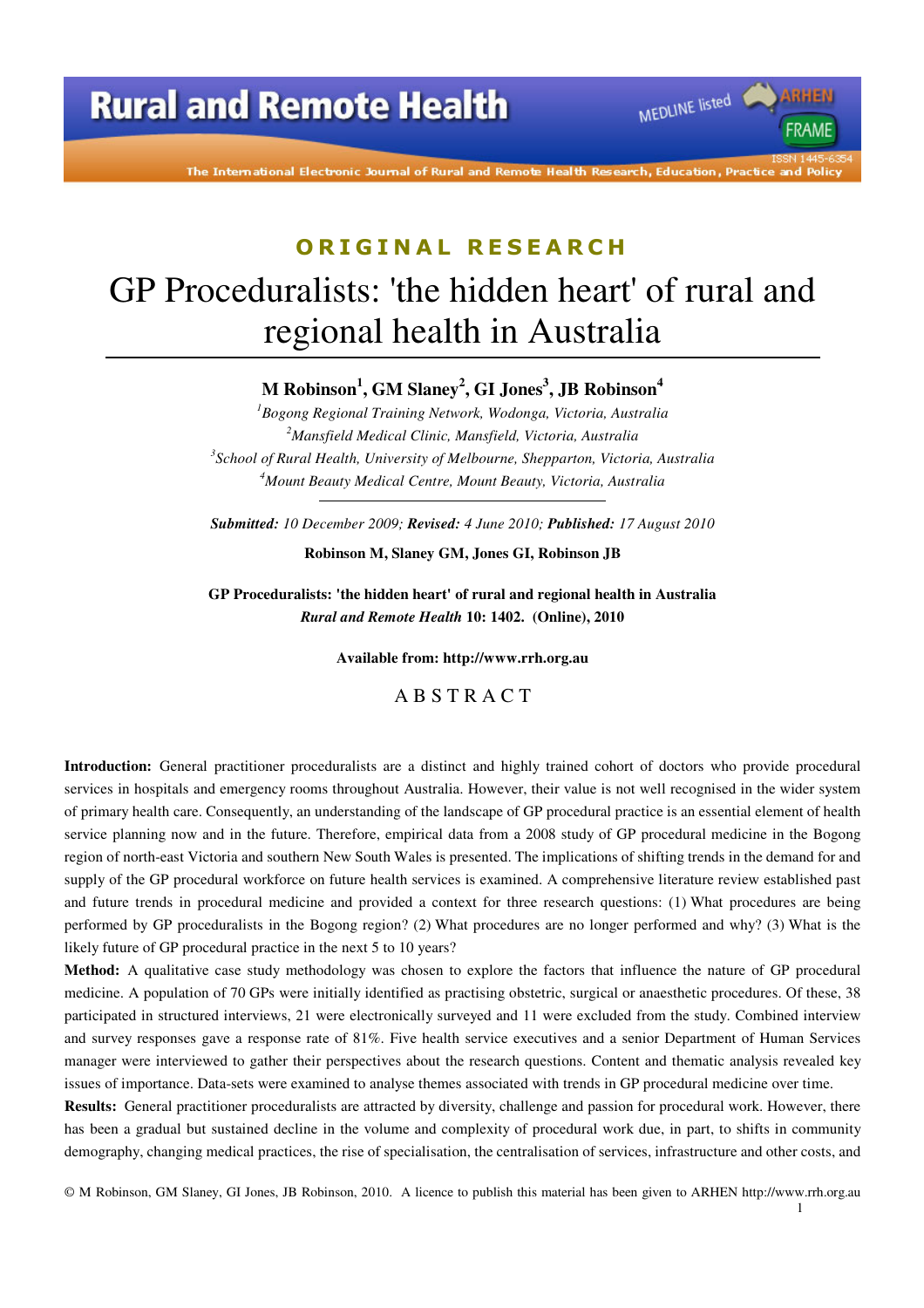The International Electronic Journal of Rural and Remote Health Research, Education, Practice and Policy

MEDLINE listed

**FRAME** 

# **O R I G I N A L R E S E A R C H** GP Proceduralists: 'the hidden heart' of rural and regional health in Australia

**M Robinson<sup>1</sup> , GM Slaney<sup>2</sup> , GI Jones<sup>3</sup> , JB Robinson<sup>4</sup>**

*Bogong Regional Training Network, Wodonga, Victoria, Australia Mansfield Medical Clinic, Mansfield, Victoria, Australia School of Rural Health, University of Melbourne, Shepparton, Victoria, Australia Mount Beauty Medical Centre, Mount Beauty, Victoria, Australia* 

*Submitted: 10 December 2009; Revised: 4 June 2010; Published: 17 August 2010* 

**Robinson M, Slaney GM, Jones GI, Robinson JB** 

**GP Proceduralists: 'the hidden heart' of rural and regional health in Australia**  *Rural and Remote Health* **10: 1402. (Online), 2010** 

**Available from: http://www.rrh.org.au** 

A B S T R A C T

**Introduction:** General practitioner proceduralists are a distinct and highly trained cohort of doctors who provide procedural services in hospitals and emergency rooms throughout Australia. However, their value is not well recognised in the wider system of primary health care. Consequently, an understanding of the landscape of GP procedural practice is an essential element of health service planning now and in the future. Therefore, empirical data from a 2008 study of GP procedural medicine in the Bogong region of north-east Victoria and southern New South Wales is presented. The implications of shifting trends in the demand for and supply of the GP procedural workforce on future health services is examined. A comprehensive literature review established past and future trends in procedural medicine and provided a context for three research questions: (1) What procedures are being performed by GP proceduralists in the Bogong region? (2) What procedures are no longer performed and why? (3) What is the likely future of GP procedural practice in the next 5 to 10 years?

**Method:** A qualitative case study methodology was chosen to explore the factors that influence the nature of GP procedural medicine. A population of 70 GPs were initially identified as practising obstetric, surgical or anaesthetic procedures. Of these, 38 participated in structured interviews, 21 were electronically surveyed and 11 were excluded from the study. Combined interview and survey responses gave a response rate of 81%. Five health service executives and a senior Department of Human Services manager were interviewed to gather their perspectives about the research questions. Content and thematic analysis revealed key issues of importance. Data-sets were examined to analyse themes associated with trends in GP procedural medicine over time.

**Results:** General practitioner proceduralists are attracted by diversity, challenge and passion for procedural work. However, there has been a gradual but sustained decline in the volume and complexity of procedural work due, in part, to shifts in community demography, changing medical practices, the rise of specialisation, the centralisation of services, infrastructure and other costs, and

© M Robinson, GM Slaney, GI Jones, JB Robinson, 2010. A licence to publish this material has been given to ARHEN http://www.rrh.org.au 1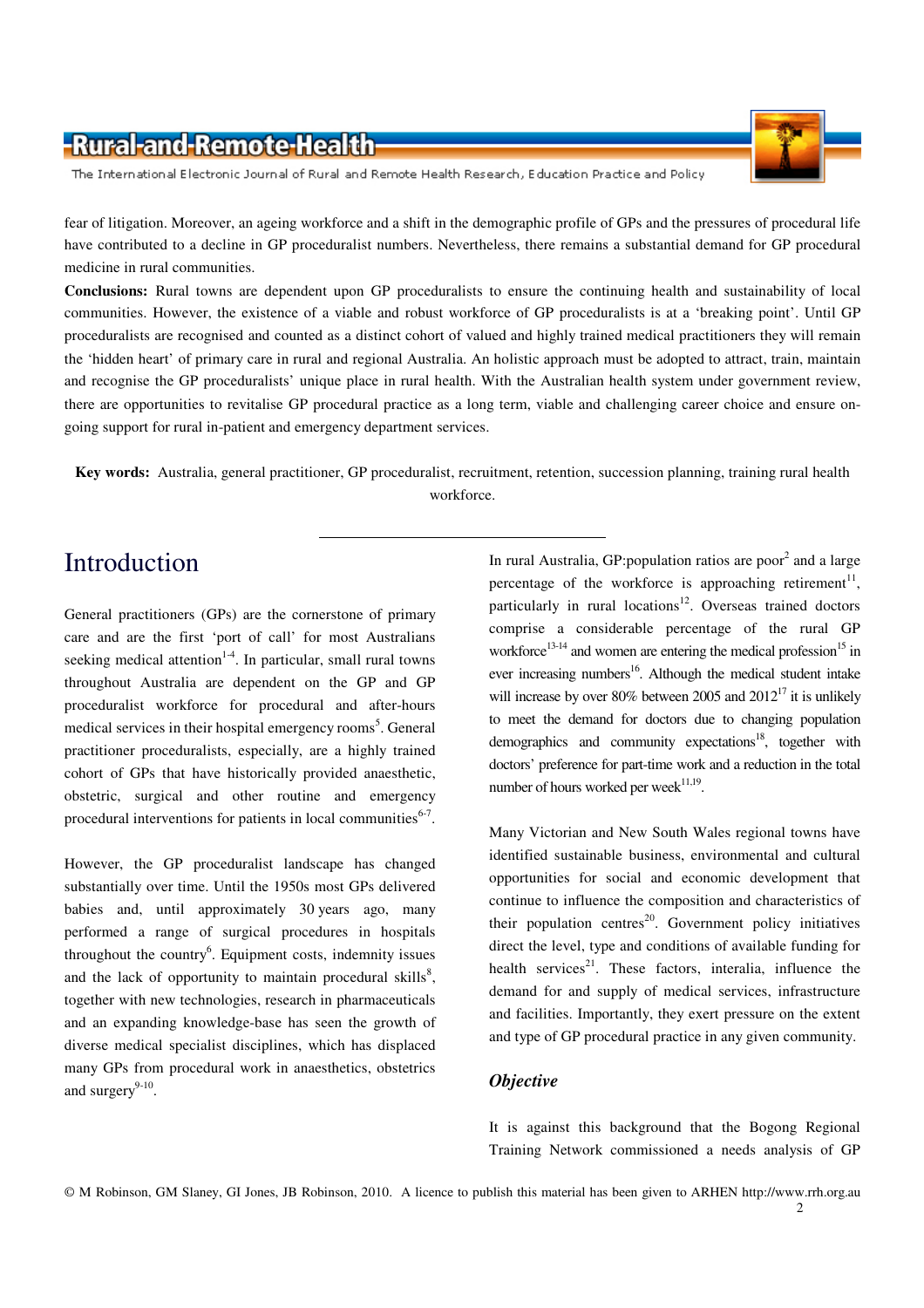

The International Electronic Journal of Rural and Remote Health Research, Education Practice and Policy

fear of litigation. Moreover, an ageing workforce and a shift in the demographic profile of GPs and the pressures of procedural life have contributed to a decline in GP proceduralist numbers. Nevertheless, there remains a substantial demand for GP procedural medicine in rural communities.

**Conclusions:** Rural towns are dependent upon GP proceduralists to ensure the continuing health and sustainability of local communities. However, the existence of a viable and robust workforce of GP proceduralists is at a 'breaking point'. Until GP proceduralists are recognised and counted as a distinct cohort of valued and highly trained medical practitioners they will remain the 'hidden heart' of primary care in rural and regional Australia. An holistic approach must be adopted to attract, train, maintain and recognise the GP proceduralists' unique place in rural health. With the Australian health system under government review, there are opportunities to revitalise GP procedural practice as a long term, viable and challenging career choice and ensure ongoing support for rural in-patient and emergency department services.

**Key words:** Australia, general practitioner, GP proceduralist, recruitment, retention, succession planning, training rural health workforce.

### Introduction

General practitioners (GPs) are the cornerstone of primary care and are the first 'port of call' for most Australians seeking medical attention<sup>1-4</sup>. In particular, small rural towns throughout Australia are dependent on the GP and GP proceduralist workforce for procedural and after-hours medical services in their hospital emergency rooms<sup>5</sup>. General practitioner proceduralists, especially, are a highly trained cohort of GPs that have historically provided anaesthetic, obstetric, surgical and other routine and emergency procedural interventions for patients in local communities $6-7$ .

However, the GP proceduralist landscape has changed substantially over time. Until the 1950s most GPs delivered babies and, until approximately 30 years ago, many performed a range of surgical procedures in hospitals throughout the country<sup>6</sup>. Equipment costs, indemnity issues and the lack of opportunity to maintain procedural skills $^{8}$ , together with new technologies, research in pharmaceuticals and an expanding knowledge-base has seen the growth of diverse medical specialist disciplines, which has displaced many GPs from procedural work in anaesthetics, obstetrics and surgery $9-10$ .

In rural Australia, GP:population ratios are poor<sup>2</sup> and a large percentage of the workforce is approaching retirement<sup>11</sup>, particularly in rural locations<sup>12</sup>. Overseas trained doctors comprise a considerable percentage of the rural GP workforce<sup>13-14</sup> and women are entering the medical profession<sup>15</sup> in ever increasing numbers<sup>16</sup>. Although the medical student intake will increase by over 80% between 2005 and  $2012^{17}$  it is unlikely to meet the demand for doctors due to changing population demographics and community expectations<sup>18</sup>, together with doctors' preference for part-time work and a reduction in the total number of hours worked per week $^{11,19}$ .

Many Victorian and New South Wales regional towns have identified sustainable business, environmental and cultural opportunities for social and economic development that continue to influence the composition and characteristics of their population centres<sup>20</sup>. Government policy initiatives direct the level, type and conditions of available funding for health services $2^1$ . These factors, interalia, influence the demand for and supply of medical services, infrastructure and facilities. Importantly, they exert pressure on the extent and type of GP procedural practice in any given community.

#### *Objective*

It is against this background that the Bogong Regional Training Network commissioned a needs analysis of GP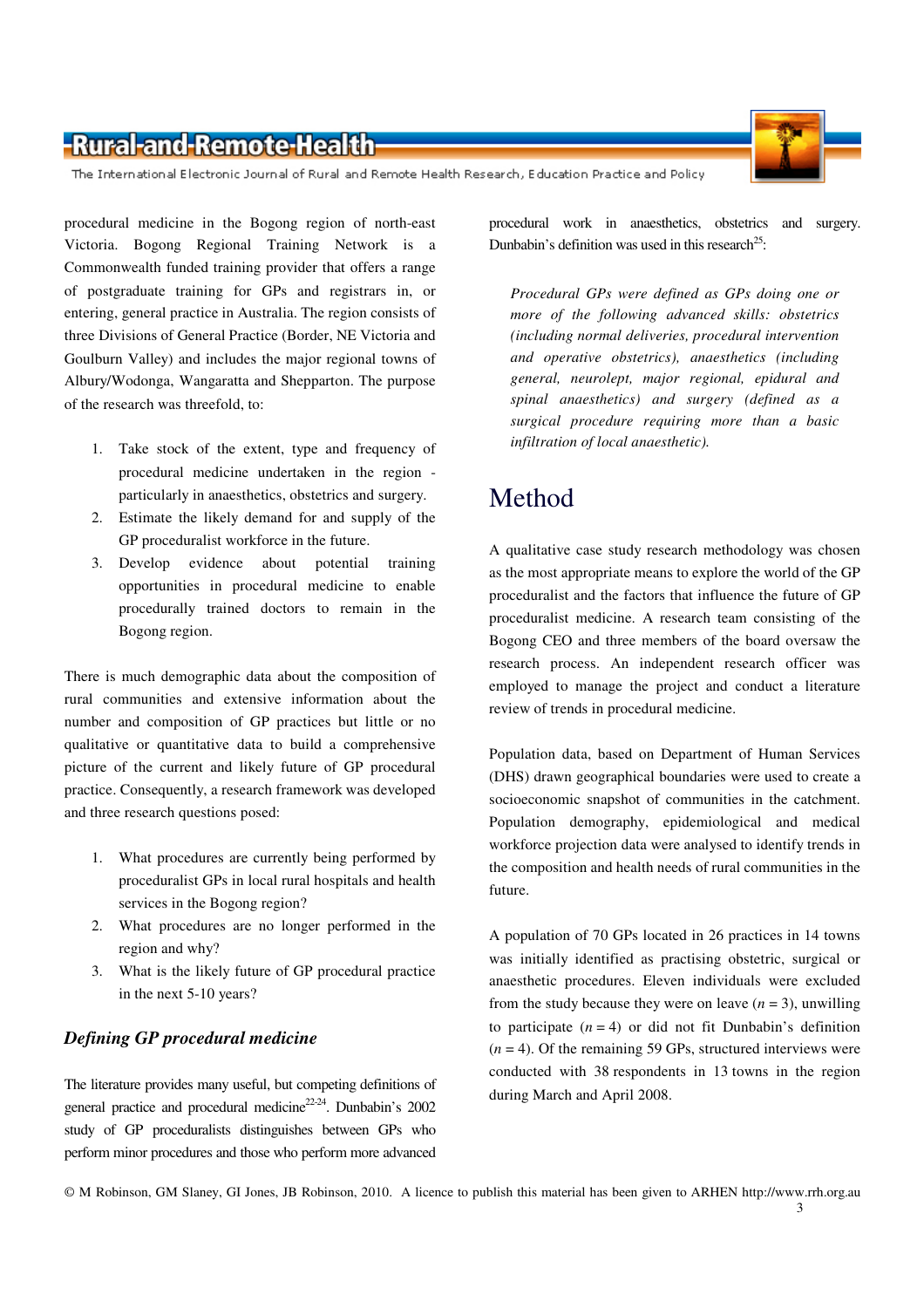The International Electronic Journal of Rural and Remote Health Research, Education Practice and Policy

procedural medicine in the Bogong region of north-east Victoria. Bogong Regional Training Network is a Commonwealth funded training provider that offers a range of postgraduate training for GPs and registrars in, or entering, general practice in Australia. The region consists of three Divisions of General Practice (Border, NE Victoria and Goulburn Valley) and includes the major regional towns of Albury/Wodonga, Wangaratta and Shepparton. The purpose of the research was threefold, to:

- 1. Take stock of the extent, type and frequency of procedural medicine undertaken in the region particularly in anaesthetics, obstetrics and surgery.
- 2. Estimate the likely demand for and supply of the GP proceduralist workforce in the future.
- 3. Develop evidence about potential training opportunities in procedural medicine to enable procedurally trained doctors to remain in the Bogong region.

There is much demographic data about the composition of rural communities and extensive information about the number and composition of GP practices but little or no qualitative or quantitative data to build a comprehensive picture of the current and likely future of GP procedural practice. Consequently, a research framework was developed and three research questions posed:

- 1. What procedures are currently being performed by proceduralist GPs in local rural hospitals and health services in the Bogong region?
- 2. What procedures are no longer performed in the region and why?
- 3. What is the likely future of GP procedural practice in the next 5-10 years?

#### *Defining GP procedural medicine*

The literature provides many useful, but competing definitions of general practice and procedural medicine<sup>22-24</sup>. Dunbabin's 2002 study of GP proceduralists distinguishes between GPs who perform minor procedures and those who perform more advanced

procedural work in anaesthetics, obstetrics and surgery. Dunbabin's definition was used in this research<sup>25</sup>:

*Procedural GPs were defined as GPs doing one or more of the following advanced skills: obstetrics (including normal deliveries, procedural intervention and operative obstetrics), anaesthetics (including general, neurolept, major regional, epidural and spinal anaesthetics) and surgery (defined as a surgical procedure requiring more than a basic infiltration of local anaesthetic).* 

# Method

A qualitative case study research methodology was chosen as the most appropriate means to explore the world of the GP proceduralist and the factors that influence the future of GP proceduralist medicine. A research team consisting of the Bogong CEO and three members of the board oversaw the research process. An independent research officer was employed to manage the project and conduct a literature review of trends in procedural medicine.

Population data, based on Department of Human Services (DHS) drawn geographical boundaries were used to create a socioeconomic snapshot of communities in the catchment. Population demography, epidemiological and medical workforce projection data were analysed to identify trends in the composition and health needs of rural communities in the future.

A population of 70 GPs located in 26 practices in 14 towns was initially identified as practising obstetric, surgical or anaesthetic procedures. Eleven individuals were excluded from the study because they were on leave  $(n = 3)$ , unwilling to participate  $(n = 4)$  or did not fit Dunbabin's definition  $(n = 4)$ . Of the remaining 59 GPs, structured interviews were conducted with 38 respondents in 13 towns in the region during March and April 2008.

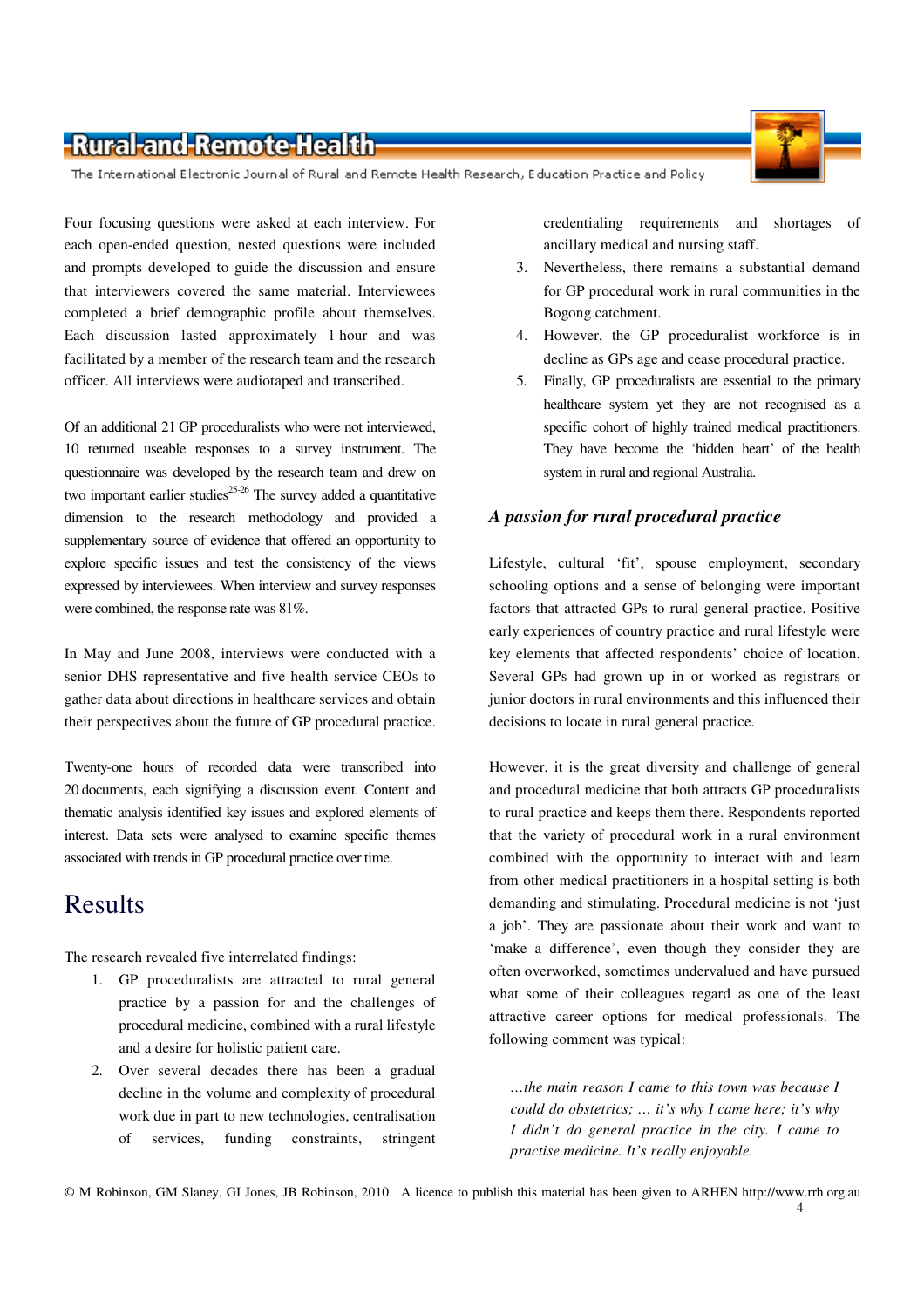

The International Electronic Journal of Rural and Remote Health Research, Education Practice and Policy

Four focusing questions were asked at each interview. For each open-ended question, nested questions were included and prompts developed to guide the discussion and ensure that interviewers covered the same material. Interviewees completed a brief demographic profile about themselves. Each discussion lasted approximately 1 hour and was facilitated by a member of the research team and the research officer. All interviews were audiotaped and transcribed.

Of an additional 21 GP proceduralists who were not interviewed, 10 returned useable responses to a survey instrument. The questionnaire was developed by the research team and drew on two important earlier studies<sup>25-26</sup> The survey added a quantitative dimension to the research methodology and provided a supplementary source of evidence that offered an opportunity to explore specific issues and test the consistency of the views expressed by interviewees. When interview and survey responses were combined, the response rate was 81%.

In May and June 2008, interviews were conducted with a senior DHS representative and five health service CEOs to gather data about directions in healthcare services and obtain their perspectives about the future of GP procedural practice.

Twenty-one hours of recorded data were transcribed into 20 documents, each signifying a discussion event. Content and thematic analysis identified key issues and explored elements of interest. Data sets were analysed to examine specific themes associated with trends in GP procedural practice over time.

# Results

The research revealed five interrelated findings:

- 1. GP proceduralists are attracted to rural general practice by a passion for and the challenges of procedural medicine, combined with a rural lifestyle and a desire for holistic patient care.
- 2. Over several decades there has been a gradual decline in the volume and complexity of procedural work due in part to new technologies, centralisation of services, funding constraints, stringent

credentialing requirements and shortages of ancillary medical and nursing staff.

- 3. Nevertheless, there remains a substantial demand for GP procedural work in rural communities in the Bogong catchment.
- 4. However, the GP proceduralist workforce is in decline as GPs age and cease procedural practice.
- 5. Finally, GP proceduralists are essential to the primary healthcare system yet they are not recognised as a specific cohort of highly trained medical practitioners. They have become the 'hidden heart' of the health system in rural and regional Australia.

#### *A passion for rural procedural practice*

Lifestyle, cultural 'fit', spouse employment, secondary schooling options and a sense of belonging were important factors that attracted GPs to rural general practice. Positive early experiences of country practice and rural lifestyle were key elements that affected respondents' choice of location. Several GPs had grown up in or worked as registrars or junior doctors in rural environments and this influenced their decisions to locate in rural general practice.

However, it is the great diversity and challenge of general and procedural medicine that both attracts GP proceduralists to rural practice and keeps them there. Respondents reported that the variety of procedural work in a rural environment combined with the opportunity to interact with and learn from other medical practitioners in a hospital setting is both demanding and stimulating. Procedural medicine is not 'just a job'. They are passionate about their work and want to 'make a difference', even though they consider they are often overworked, sometimes undervalued and have pursued what some of their colleagues regard as one of the least attractive career options for medical professionals. The following comment was typical:

*…the main reason I came to this town was because I could do obstetrics; … it's why I came here; it's why I didn't do general practice in the city. I came to practise medicine. It's really enjoyable.*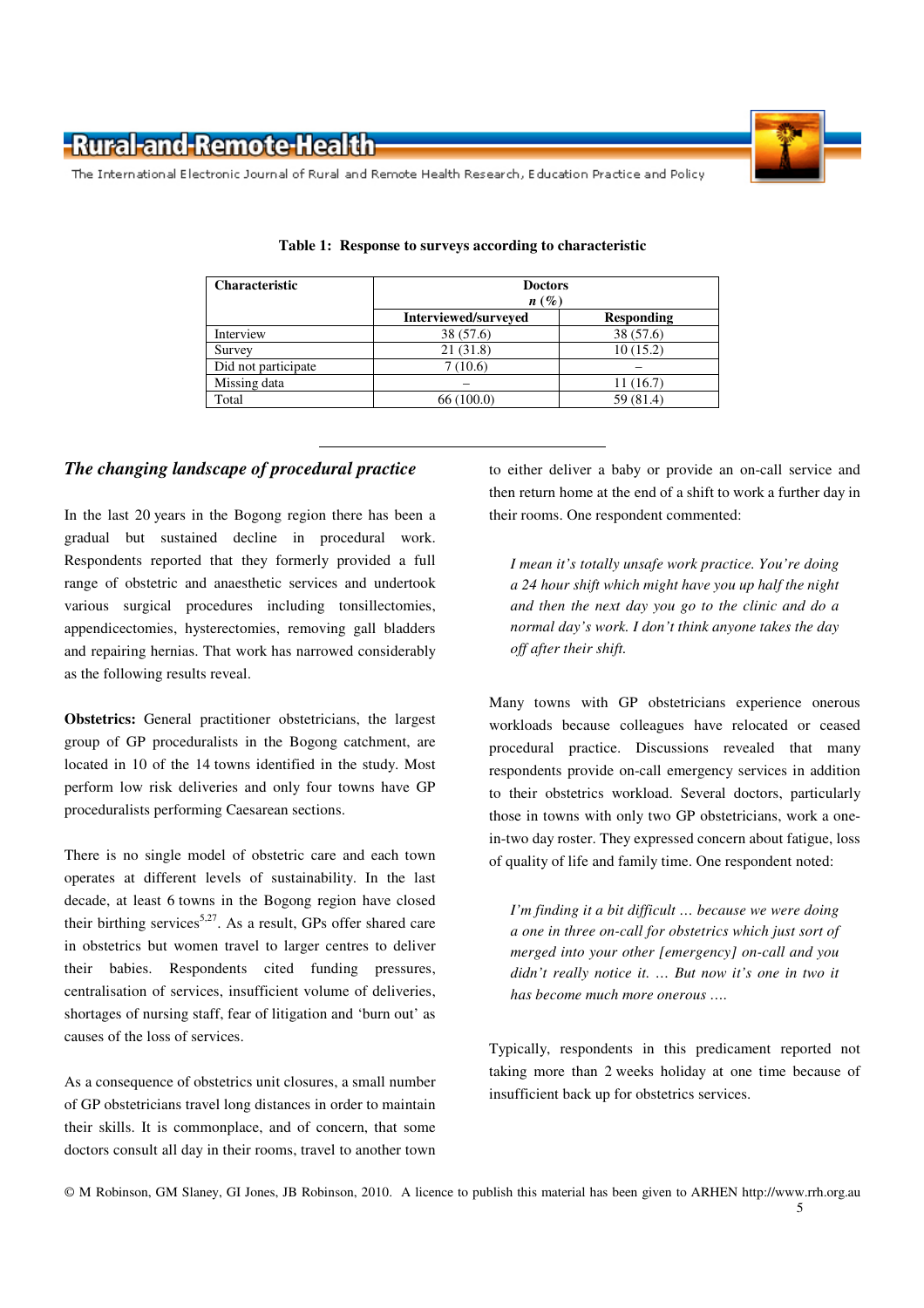

The International Electronic Journal of Rural and Remote Health Research, Education Practice and Policy

| <b>Characteristic</b> | <b>Doctors</b><br>$n(\%)$ |                   |  |  |  |
|-----------------------|---------------------------|-------------------|--|--|--|
|                       | Interviewed/surveyed      | <b>Responding</b> |  |  |  |
| Interview             | 38 (57.6)                 | 38 (57.6)         |  |  |  |
| Survey                | 21(31.8)                  | 10(15.2)          |  |  |  |
| Did not participate   | 7(10.6)                   |                   |  |  |  |
| Missing data          |                           | 11(16.7)          |  |  |  |
| Total                 | 66(100.0)                 | 59 (81.4)         |  |  |  |

|  |  |  |  | Table 1: Response to surveys according to characteristic |
|--|--|--|--|----------------------------------------------------------|
|--|--|--|--|----------------------------------------------------------|

#### *The changing landscape of procedural practice*

In the last 20 years in the Bogong region there has been a gradual but sustained decline in procedural work. Respondents reported that they formerly provided a full range of obstetric and anaesthetic services and undertook various surgical procedures including tonsillectomies, appendicectomies, hysterectomies, removing gall bladders and repairing hernias. That work has narrowed considerably as the following results reveal.

**Obstetrics:** General practitioner obstetricians, the largest group of GP proceduralists in the Bogong catchment, are located in 10 of the 14 towns identified in the study. Most perform low risk deliveries and only four towns have GP proceduralists performing Caesarean sections.

There is no single model of obstetric care and each town operates at different levels of sustainability. In the last decade, at least 6 towns in the Bogong region have closed their birthing services<sup>5,27</sup>. As a result, GPs offer shared care in obstetrics but women travel to larger centres to deliver their babies. Respondents cited funding pressures, centralisation of services, insufficient volume of deliveries, shortages of nursing staff, fear of litigation and 'burn out' as causes of the loss of services.

As a consequence of obstetrics unit closures, a small number of GP obstetricians travel long distances in order to maintain their skills. It is commonplace, and of concern, that some doctors consult all day in their rooms, travel to another town to either deliver a baby or provide an on-call service and then return home at the end of a shift to work a further day in their rooms. One respondent commented:

*I mean it's totally unsafe work practice. You're doing a 24 hour shift which might have you up half the night and then the next day you go to the clinic and do a normal day's work. I don't think anyone takes the day off after their shift.* 

Many towns with GP obstetricians experience onerous workloads because colleagues have relocated or ceased procedural practice. Discussions revealed that many respondents provide on-call emergency services in addition to their obstetrics workload. Several doctors, particularly those in towns with only two GP obstetricians, work a onein-two day roster. They expressed concern about fatigue, loss of quality of life and family time. One respondent noted:

*I'm finding it a bit difficult … because we were doing a one in three on-call for obstetrics which just sort of merged into your other [emergency] on-call and you didn't really notice it. … But now it's one in two it has become much more onerous ….* 

Typically, respondents in this predicament reported not taking more than 2 weeks holiday at one time because of insufficient back up for obstetrics services.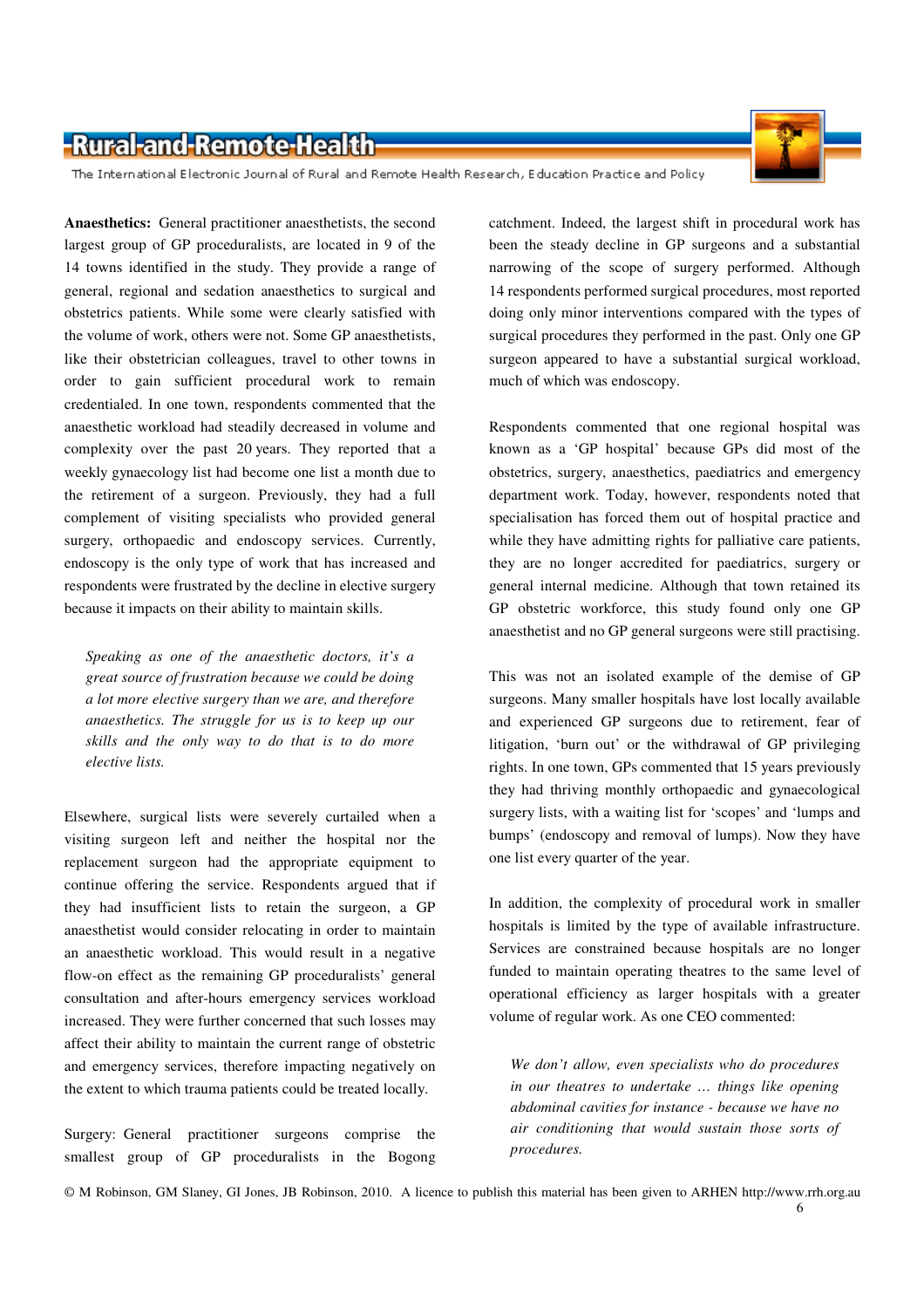

The International Electronic Journal of Rural and Remote Health Research, Education Practice and Policy

**Anaesthetics:** General practitioner anaesthetists, the second largest group of GP proceduralists, are located in 9 of the 14 towns identified in the study. They provide a range of general, regional and sedation anaesthetics to surgical and obstetrics patients. While some were clearly satisfied with the volume of work, others were not. Some GP anaesthetists, like their obstetrician colleagues, travel to other towns in order to gain sufficient procedural work to remain credentialed. In one town, respondents commented that the anaesthetic workload had steadily decreased in volume and complexity over the past 20 years. They reported that a weekly gynaecology list had become one list a month due to the retirement of a surgeon. Previously, they had a full complement of visiting specialists who provided general surgery, orthopaedic and endoscopy services. Currently, endoscopy is the only type of work that has increased and respondents were frustrated by the decline in elective surgery because it impacts on their ability to maintain skills.

*Speaking as one of the anaesthetic doctors, it's a great source of frustration because we could be doing a lot more elective surgery than we are, and therefore anaesthetics. The struggle for us is to keep up our skills and the only way to do that is to do more elective lists.* 

Elsewhere, surgical lists were severely curtailed when a visiting surgeon left and neither the hospital nor the replacement surgeon had the appropriate equipment to continue offering the service. Respondents argued that if they had insufficient lists to retain the surgeon, a GP anaesthetist would consider relocating in order to maintain an anaesthetic workload. This would result in a negative flow-on effect as the remaining GP proceduralists' general consultation and after-hours emergency services workload increased. They were further concerned that such losses may affect their ability to maintain the current range of obstetric and emergency services, therefore impacting negatively on the extent to which trauma patients could be treated locally.

Surgery: General practitioner surgeons comprise the smallest group of GP proceduralists in the Bogong catchment. Indeed, the largest shift in procedural work has been the steady decline in GP surgeons and a substantial narrowing of the scope of surgery performed. Although 14 respondents performed surgical procedures, most reported doing only minor interventions compared with the types of surgical procedures they performed in the past. Only one GP surgeon appeared to have a substantial surgical workload, much of which was endoscopy.

Respondents commented that one regional hospital was known as a 'GP hospital' because GPs did most of the obstetrics, surgery, anaesthetics, paediatrics and emergency department work. Today, however, respondents noted that specialisation has forced them out of hospital practice and while they have admitting rights for palliative care patients, they are no longer accredited for paediatrics, surgery or general internal medicine. Although that town retained its GP obstetric workforce, this study found only one GP anaesthetist and no GP general surgeons were still practising.

This was not an isolated example of the demise of GP surgeons. Many smaller hospitals have lost locally available and experienced GP surgeons due to retirement, fear of litigation, 'burn out' or the withdrawal of GP privileging rights. In one town, GPs commented that 15 years previously they had thriving monthly orthopaedic and gynaecological surgery lists, with a waiting list for 'scopes' and 'lumps and bumps' (endoscopy and removal of lumps). Now they have one list every quarter of the year.

In addition, the complexity of procedural work in smaller hospitals is limited by the type of available infrastructure. Services are constrained because hospitals are no longer funded to maintain operating theatres to the same level of operational efficiency as larger hospitals with a greater volume of regular work. As one CEO commented:

*We don't allow, even specialists who do procedures in our theatres to undertake … things like opening abdominal cavities for instance - because we have no air conditioning that would sustain those sorts of procedures.*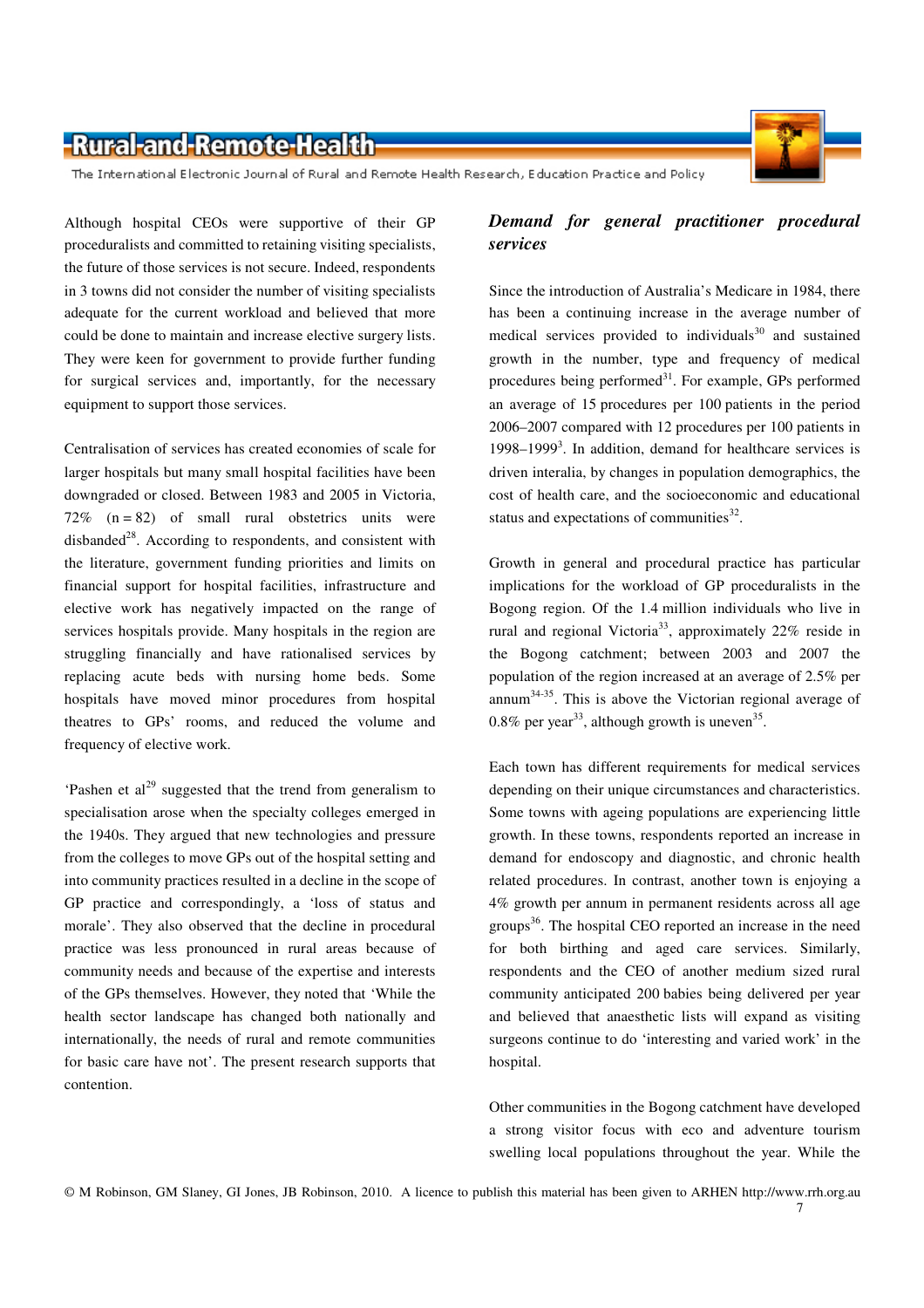The International Electronic Journal of Rural and Remote Health Research, Education Practice and Policy

Although hospital CEOs were supportive of their GP proceduralists and committed to retaining visiting specialists, the future of those services is not secure. Indeed, respondents in 3 towns did not consider the number of visiting specialists adequate for the current workload and believed that more could be done to maintain and increase elective surgery lists. They were keen for government to provide further funding for surgical services and, importantly, for the necessary equipment to support those services.

Centralisation of services has created economies of scale for larger hospitals but many small hospital facilities have been downgraded or closed. Between 1983 and 2005 in Victoria, 72%  $(n = 82)$  of small rural obstetrics units were disbanded<sup>28</sup>. According to respondents, and consistent with the literature, government funding priorities and limits on financial support for hospital facilities, infrastructure and elective work has negatively impacted on the range of services hospitals provide. Many hospitals in the region are struggling financially and have rationalised services by replacing acute beds with nursing home beds. Some hospitals have moved minor procedures from hospital theatres to GPs' rooms, and reduced the volume and frequency of elective work.

'Pashen et al<sup>29</sup> suggested that the trend from generalism to specialisation arose when the specialty colleges emerged in the 1940s. They argued that new technologies and pressure from the colleges to move GPs out of the hospital setting and into community practices resulted in a decline in the scope of GP practice and correspondingly, a 'loss of status and morale'. They also observed that the decline in procedural practice was less pronounced in rural areas because of community needs and because of the expertise and interests of the GPs themselves. However, they noted that 'While the health sector landscape has changed both nationally and internationally, the needs of rural and remote communities for basic care have not'. The present research supports that contention.

#### *Demand for general practitioner procedural services*

Since the introduction of Australia's Medicare in 1984, there has been a continuing increase in the average number of medical services provided to individuals<sup>30</sup> and sustained growth in the number, type and frequency of medical procedures being performed<sup>31</sup>. For example, GPs performed an average of 15 procedures per 100 patients in the period 2006–2007 compared with 12 procedures per 100 patients in 1998–1999<sup>3</sup>. In addition, demand for healthcare services is driven interalia, by changes in population demographics, the cost of health care, and the socioeconomic and educational status and expectations of communities $^{32}$ .

Growth in general and procedural practice has particular implications for the workload of GP proceduralists in the Bogong region. Of the 1.4 million individuals who live in rural and regional Victoria<sup>33</sup>, approximately  $22\%$  reside in the Bogong catchment; between 2003 and 2007 the population of the region increased at an average of 2.5% per annum34-35. This is above the Victorian regional average of 0.8% per year<sup>33</sup>, although growth is uneven<sup>35</sup>.

Each town has different requirements for medical services depending on their unique circumstances and characteristics. Some towns with ageing populations are experiencing little growth. In these towns, respondents reported an increase in demand for endoscopy and diagnostic, and chronic health related procedures. In contrast, another town is enjoying a 4% growth per annum in permanent residents across all age groups<sup>36</sup>. The hospital CEO reported an increase in the need for both birthing and aged care services. Similarly, respondents and the CEO of another medium sized rural community anticipated 200 babies being delivered per year and believed that anaesthetic lists will expand as visiting surgeons continue to do 'interesting and varied work' in the hospital.

Other communities in the Bogong catchment have developed a strong visitor focus with eco and adventure tourism swelling local populations throughout the year. While the

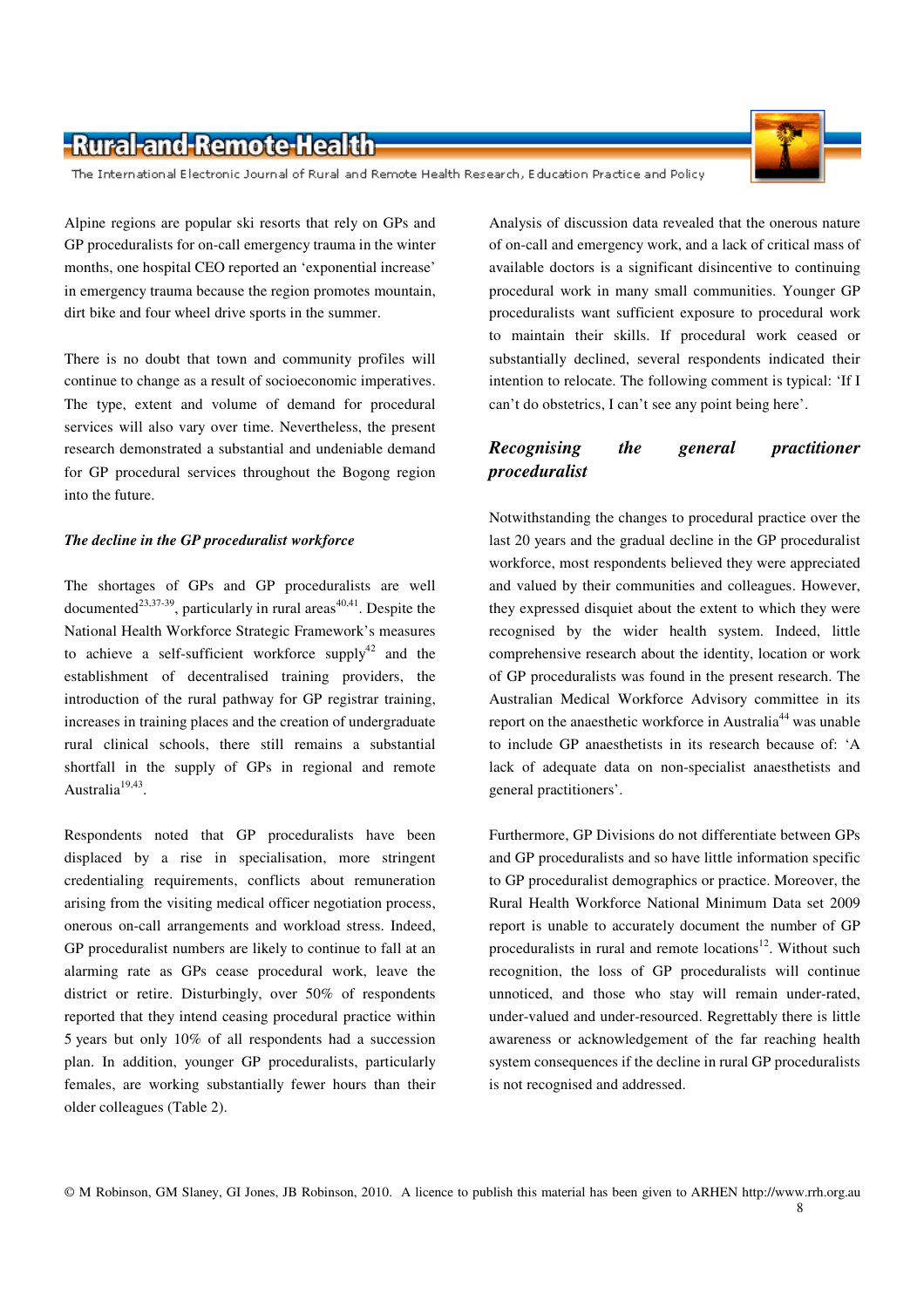The International Electronic Journal of Rural and Remote Health Research, Education Practice and Policy

Alpine regions are popular ski resorts that rely on GPs and GP proceduralists for on-call emergency trauma in the winter months, one hospital CEO reported an 'exponential increase' in emergency trauma because the region promotes mountain, dirt bike and four wheel drive sports in the summer.

There is no doubt that town and community profiles will continue to change as a result of socioeconomic imperatives. The type, extent and volume of demand for procedural services will also vary over time. Nevertheless, the present research demonstrated a substantial and undeniable demand for GP procedural services throughout the Bogong region into the future.

#### *The decline in the GP proceduralist workforce*

The shortages of GPs and GP proceduralists are well documented<sup>23,37-39</sup>, particularly in rural areas<sup>40,41</sup>. Despite the National Health Workforce Strategic Framework's measures to achieve a self-sufficient workforce supply<sup>42</sup> and the establishment of decentralised training providers, the introduction of the rural pathway for GP registrar training, increases in training places and the creation of undergraduate rural clinical schools, there still remains a substantial shortfall in the supply of GPs in regional and remote Australia<sup>19,43</sup>.

Respondents noted that GP proceduralists have been displaced by a rise in specialisation, more stringent credentialing requirements, conflicts about remuneration arising from the visiting medical officer negotiation process, onerous on-call arrangements and workload stress. Indeed, GP proceduralist numbers are likely to continue to fall at an alarming rate as GPs cease procedural work, leave the district or retire. Disturbingly, over 50% of respondents reported that they intend ceasing procedural practice within 5 years but only 10% of all respondents had a succession plan. In addition, younger GP proceduralists, particularly females, are working substantially fewer hours than their older colleagues (Table 2).

Analysis of discussion data revealed that the onerous nature of on-call and emergency work, and a lack of critical mass of available doctors is a significant disincentive to continuing procedural work in many small communities. Younger GP proceduralists want sufficient exposure to procedural work to maintain their skills. If procedural work ceased or substantially declined, several respondents indicated their intention to relocate. The following comment is typical: 'If I can't do obstetrics, I can't see any point being here'.

#### *Recognising the general practitioner proceduralist*

Notwithstanding the changes to procedural practice over the last 20 years and the gradual decline in the GP proceduralist workforce, most respondents believed they were appreciated and valued by their communities and colleagues. However, they expressed disquiet about the extent to which they were recognised by the wider health system. Indeed, little comprehensive research about the identity, location or work of GP proceduralists was found in the present research. The Australian Medical Workforce Advisory committee in its report on the anaesthetic workforce in Australia<sup>44</sup> was unable to include GP anaesthetists in its research because of: 'A lack of adequate data on non-specialist anaesthetists and general practitioners'.

Furthermore, GP Divisions do not differentiate between GPs and GP proceduralists and so have little information specific to GP proceduralist demographics or practice. Moreover, the Rural Health Workforce National Minimum Data set 2009 report is unable to accurately document the number of GP proceduralists in rural and remote locations<sup>12</sup>. Without such recognition, the loss of GP proceduralists will continue unnoticed, and those who stay will remain under-rated, under-valued and under-resourced. Regrettably there is little awareness or acknowledgement of the far reaching health system consequences if the decline in rural GP proceduralists is not recognised and addressed.

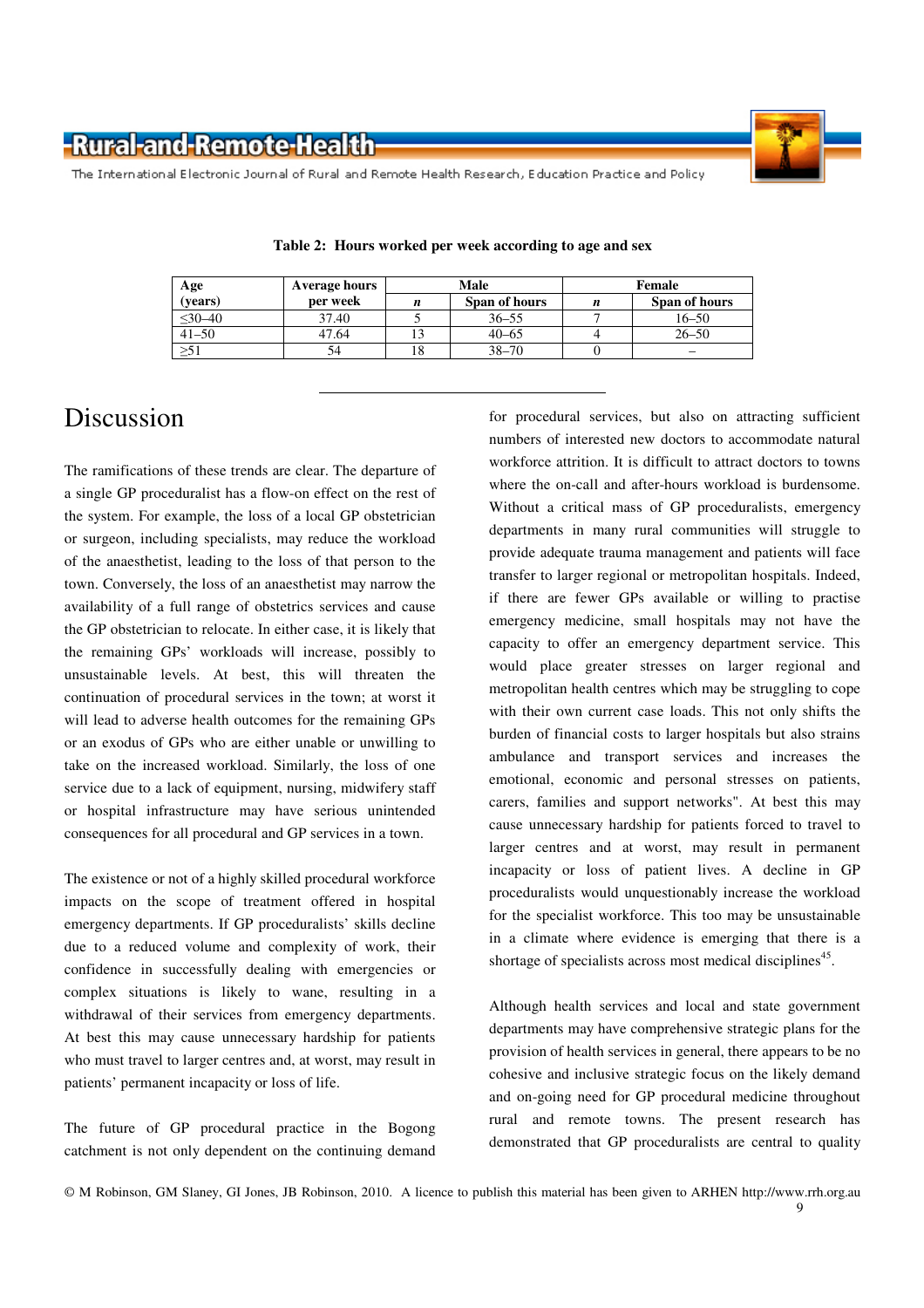

The International Electronic Journal of Rural and Remote Health Research, Education Practice and Policy

| Age              | Average hours | Male |               | Female |               |
|------------------|---------------|------|---------------|--------|---------------|
| ( <b>years</b> ) | per week      |      | Span of hours | n      | Span of hours |
| $\leq 30 - 40$   | 37.40         |      | $36 - 55$     |        | $16 - 50$     |
| $41 - 50$        | 47.64         |      | $40 - 65$     |        | $26 - 50$     |
| $\geq 51$        |               |      | $38 - 70$     |        | –             |

**Table 2: Hours worked per week according to age and sex** 

### Discussion

The ramifications of these trends are clear. The departure of a single GP proceduralist has a flow-on effect on the rest of the system. For example, the loss of a local GP obstetrician or surgeon, including specialists, may reduce the workload of the anaesthetist, leading to the loss of that person to the town. Conversely, the loss of an anaesthetist may narrow the availability of a full range of obstetrics services and cause the GP obstetrician to relocate. In either case, it is likely that the remaining GPs' workloads will increase, possibly to unsustainable levels. At best, this will threaten the continuation of procedural services in the town; at worst it will lead to adverse health outcomes for the remaining GPs or an exodus of GPs who are either unable or unwilling to take on the increased workload. Similarly, the loss of one service due to a lack of equipment, nursing, midwifery staff or hospital infrastructure may have serious unintended consequences for all procedural and GP services in a town.

The existence or not of a highly skilled procedural workforce impacts on the scope of treatment offered in hospital emergency departments. If GP proceduralists' skills decline due to a reduced volume and complexity of work, their confidence in successfully dealing with emergencies or complex situations is likely to wane, resulting in a withdrawal of their services from emergency departments. At best this may cause unnecessary hardship for patients who must travel to larger centres and, at worst, may result in patients' permanent incapacity or loss of life.

The future of GP procedural practice in the Bogong catchment is not only dependent on the continuing demand for procedural services, but also on attracting sufficient numbers of interested new doctors to accommodate natural workforce attrition. It is difficult to attract doctors to towns where the on-call and after-hours workload is burdensome. Without a critical mass of GP proceduralists, emergency departments in many rural communities will struggle to provide adequate trauma management and patients will face transfer to larger regional or metropolitan hospitals. Indeed, if there are fewer GPs available or willing to practise emergency medicine, small hospitals may not have the capacity to offer an emergency department service. This would place greater stresses on larger regional and metropolitan health centres which may be struggling to cope with their own current case loads. This not only shifts the burden of financial costs to larger hospitals but also strains ambulance and transport services and increases the emotional, economic and personal stresses on patients, carers, families and support networks". At best this may cause unnecessary hardship for patients forced to travel to larger centres and at worst, may result in permanent incapacity or loss of patient lives. A decline in GP proceduralists would unquestionably increase the workload for the specialist workforce. This too may be unsustainable in a climate where evidence is emerging that there is a shortage of specialists across most medical disciplines<sup>45</sup>.

Although health services and local and state government departments may have comprehensive strategic plans for the provision of health services in general, there appears to be no cohesive and inclusive strategic focus on the likely demand and on-going need for GP procedural medicine throughout rural and remote towns. The present research has demonstrated that GP proceduralists are central to quality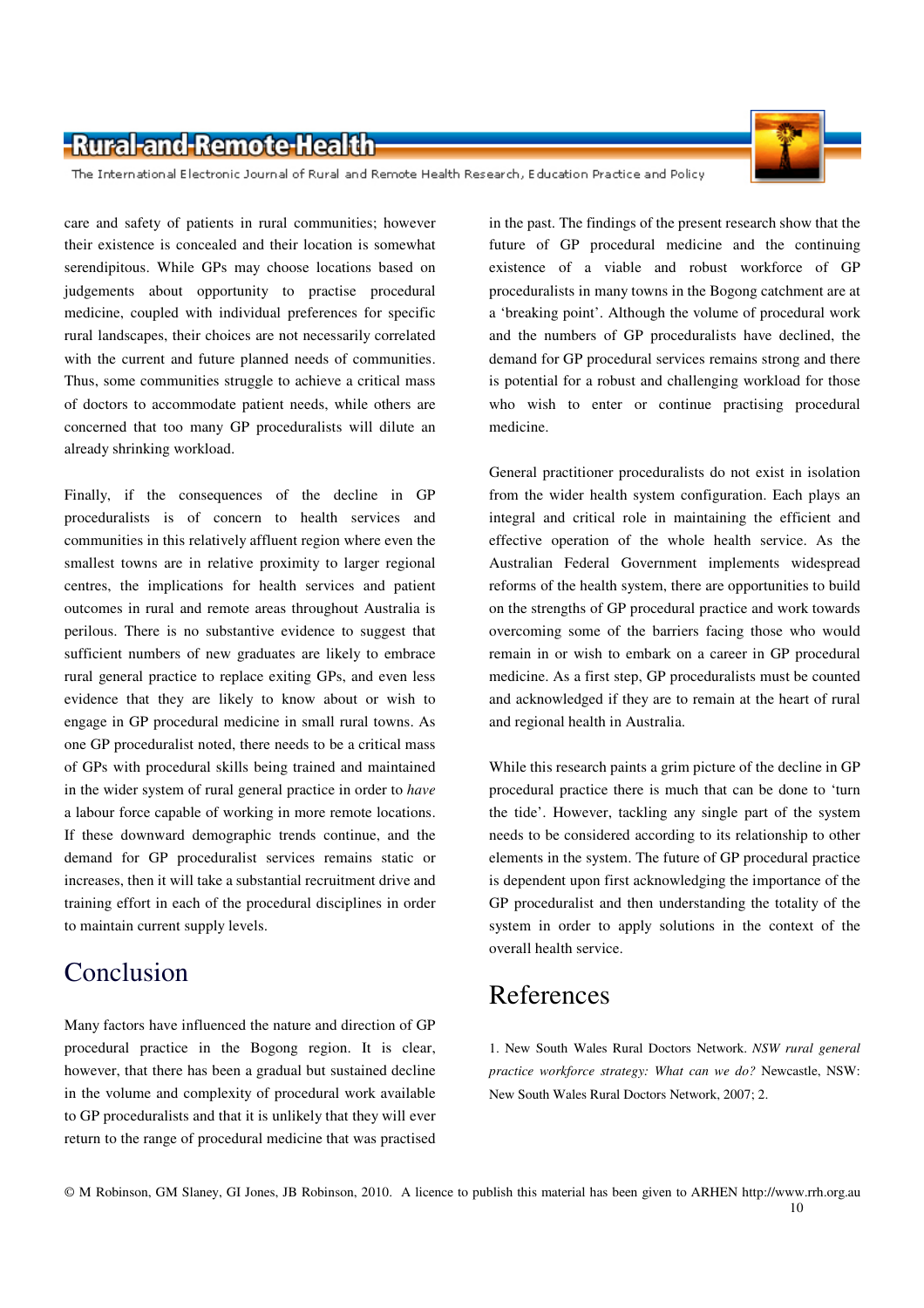The International Electronic Journal of Rural and Remote Health Research, Education Practice and Policy

care and safety of patients in rural communities; however their existence is concealed and their location is somewhat serendipitous. While GPs may choose locations based on judgements about opportunity to practise procedural medicine, coupled with individual preferences for specific rural landscapes, their choices are not necessarily correlated with the current and future planned needs of communities. Thus, some communities struggle to achieve a critical mass of doctors to accommodate patient needs, while others are concerned that too many GP proceduralists will dilute an already shrinking workload.

Finally, if the consequences of the decline in GP proceduralists is of concern to health services and communities in this relatively affluent region where even the smallest towns are in relative proximity to larger regional centres, the implications for health services and patient outcomes in rural and remote areas throughout Australia is perilous. There is no substantive evidence to suggest that sufficient numbers of new graduates are likely to embrace rural general practice to replace exiting GPs, and even less evidence that they are likely to know about or wish to engage in GP procedural medicine in small rural towns. As one GP proceduralist noted, there needs to be a critical mass of GPs with procedural skills being trained and maintained in the wider system of rural general practice in order to *have* a labour force capable of working in more remote locations. If these downward demographic trends continue, and the demand for GP proceduralist services remains static or increases, then it will take a substantial recruitment drive and training effort in each of the procedural disciplines in order to maintain current supply levels.

### Conclusion

Many factors have influenced the nature and direction of GP procedural practice in the Bogong region. It is clear, however, that there has been a gradual but sustained decline in the volume and complexity of procedural work available to GP proceduralists and that it is unlikely that they will ever return to the range of procedural medicine that was practised

in the past. The findings of the present research show that the future of GP procedural medicine and the continuing existence of a viable and robust workforce of GP proceduralists in many towns in the Bogong catchment are at a 'breaking point'. Although the volume of procedural work and the numbers of GP proceduralists have declined, the demand for GP procedural services remains strong and there is potential for a robust and challenging workload for those who wish to enter or continue practising procedural medicine.

General practitioner proceduralists do not exist in isolation from the wider health system configuration. Each plays an integral and critical role in maintaining the efficient and effective operation of the whole health service. As the Australian Federal Government implements widespread reforms of the health system, there are opportunities to build on the strengths of GP procedural practice and work towards overcoming some of the barriers facing those who would remain in or wish to embark on a career in GP procedural medicine. As a first step, GP proceduralists must be counted and acknowledged if they are to remain at the heart of rural and regional health in Australia.

While this research paints a grim picture of the decline in GP procedural practice there is much that can be done to 'turn the tide'. However, tackling any single part of the system needs to be considered according to its relationship to other elements in the system. The future of GP procedural practice is dependent upon first acknowledging the importance of the GP proceduralist and then understanding the totality of the system in order to apply solutions in the context of the overall health service.

### References

1. New South Wales Rural Doctors Network. *NSW rural general practice workforce strategy: What can we do?* Newcastle, NSW: New South Wales Rural Doctors Network, 2007; 2.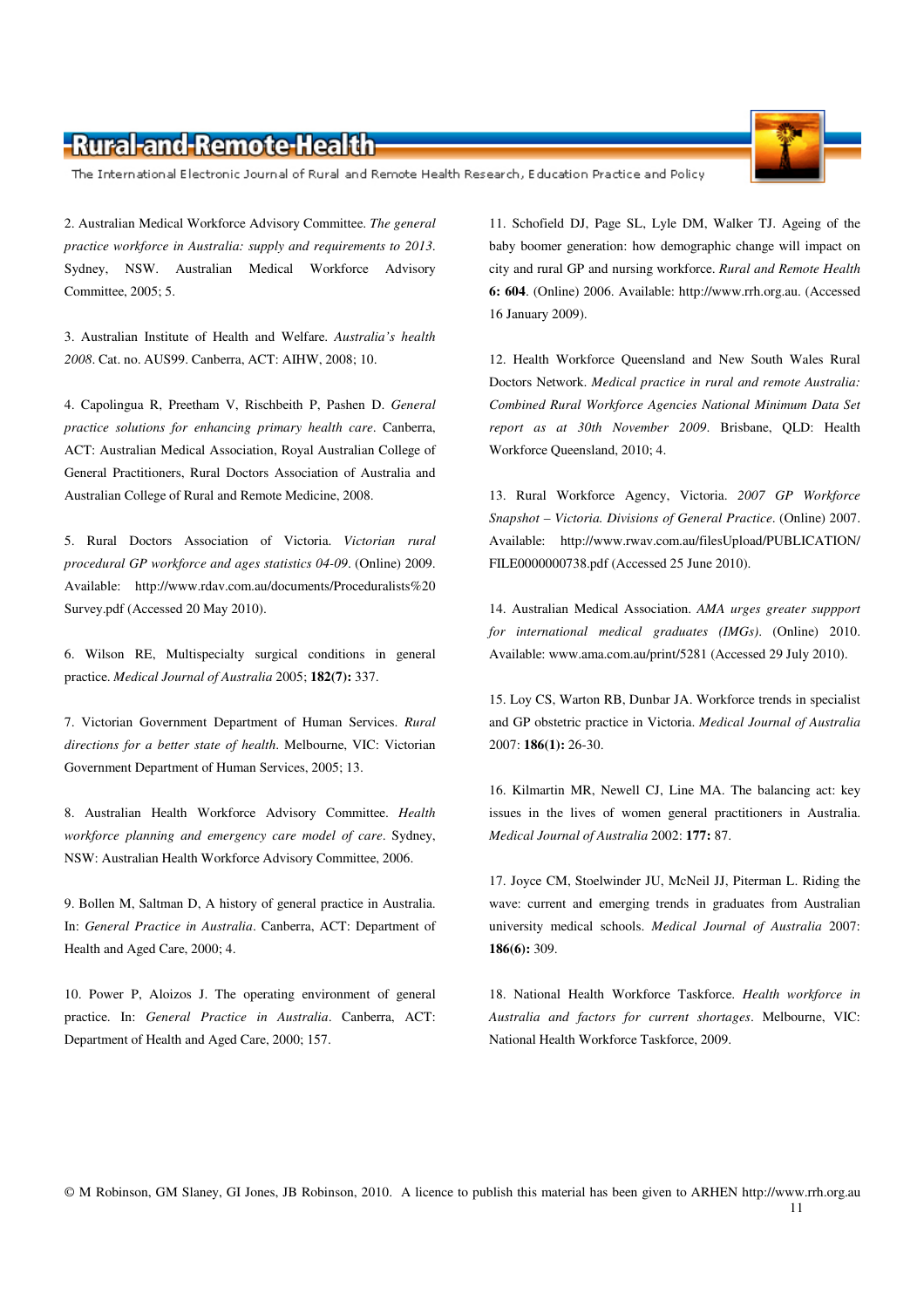The International Electronic Journal of Rural and Remote Health Research, Education Practice and Policy

2. Australian Medical Workforce Advisory Committee. *The general practice workforce in Australia: supply and requirements to 2013*. Sydney, NSW. Australian Medical Workforce Advisory Committee, 2005; 5.

3. Australian Institute of Health and Welfare. *Australia's health 2008*. Cat. no. AUS99. Canberra, ACT: AIHW, 2008; 10.

4. Capolingua R, Preetham V, Rischbeith P, Pashen D. *General practice solutions for enhancing primary health care*. Canberra, ACT: Australian Medical Association, Royal Australian College of General Practitioners, Rural Doctors Association of Australia and Australian College of Rural and Remote Medicine, 2008.

5. Rural Doctors Association of Victoria. *Victorian rural procedural GP workforce and ages statistics 04-09*. (Online) 2009. Available: http://www.rdav.com.au/documents/Proceduralists%20 Survey.pdf (Accessed 20 May 2010).

6. Wilson RE, Multispecialty surgical conditions in general practice. *Medical Journal of Australia* 2005; **182(7):** 337.

7. Victorian Government Department of Human Services. *Rural directions for a better state of health*. Melbourne, VIC: Victorian Government Department of Human Services, 2005; 13.

8. Australian Health Workforce Advisory Committee. *Health workforce planning and emergency care model of care*. Sydney, NSW: Australian Health Workforce Advisory Committee, 2006.

9. Bollen M, Saltman D, A history of general practice in Australia. In: *General Practice in Australia*. Canberra, ACT: Department of Health and Aged Care, 2000; 4.

10. Power P, Aloizos J. The operating environment of general practice. In: *General Practice in Australia*. Canberra, ACT: Department of Health and Aged Care, 2000; 157.

11. Schofield DJ, Page SL, Lyle DM, Walker TJ. Ageing of the baby boomer generation: how demographic change will impact on city and rural GP and nursing workforce. *Rural and Remote Health* **6: 604**. (Online) 2006. Available: http://www.rrh.org.au. (Accessed 16 January 2009).

12. Health Workforce Queensland and New South Wales Rural Doctors Network. *Medical practice in rural and remote Australia: Combined Rural Workforce Agencies National Minimum Data Set report as at 30th November 2009*. Brisbane, QLD: Health Workforce Queensland, 2010; 4.

13. Rural Workforce Agency, Victoria. *2007 GP Workforce Snapshot – Victoria. Divisions of General Practice*. (Online) 2007. Available: http://www.rwav.com.au/filesUpload/PUBLICATION/ FILE0000000738.pdf (Accessed 25 June 2010).

14. Australian Medical Association. *AMA urges greater suppport for international medical graduates (IMGs)*. (Online) 2010. Available: www.ama.com.au/print/5281 (Accessed 29 July 2010).

15. Loy CS, Warton RB, Dunbar JA. Workforce trends in specialist and GP obstetric practice in Victoria. *Medical Journal of Australia* 2007: **186(1):** 26-30.

16. Kilmartin MR, Newell CJ, Line MA. The balancing act: key issues in the lives of women general practitioners in Australia. *Medical Journal of Australia* 2002: **177:** 87.

17. Joyce CM, Stoelwinder JU, McNeil JJ, Piterman L. Riding the wave: current and emerging trends in graduates from Australian university medical schools. *Medical Journal of Australia* 2007: **186(6):** 309.

18. National Health Workforce Taskforce. *Health workforce in Australia and factors for current shortages*. Melbourne, VIC: National Health Workforce Taskforce, 2009.

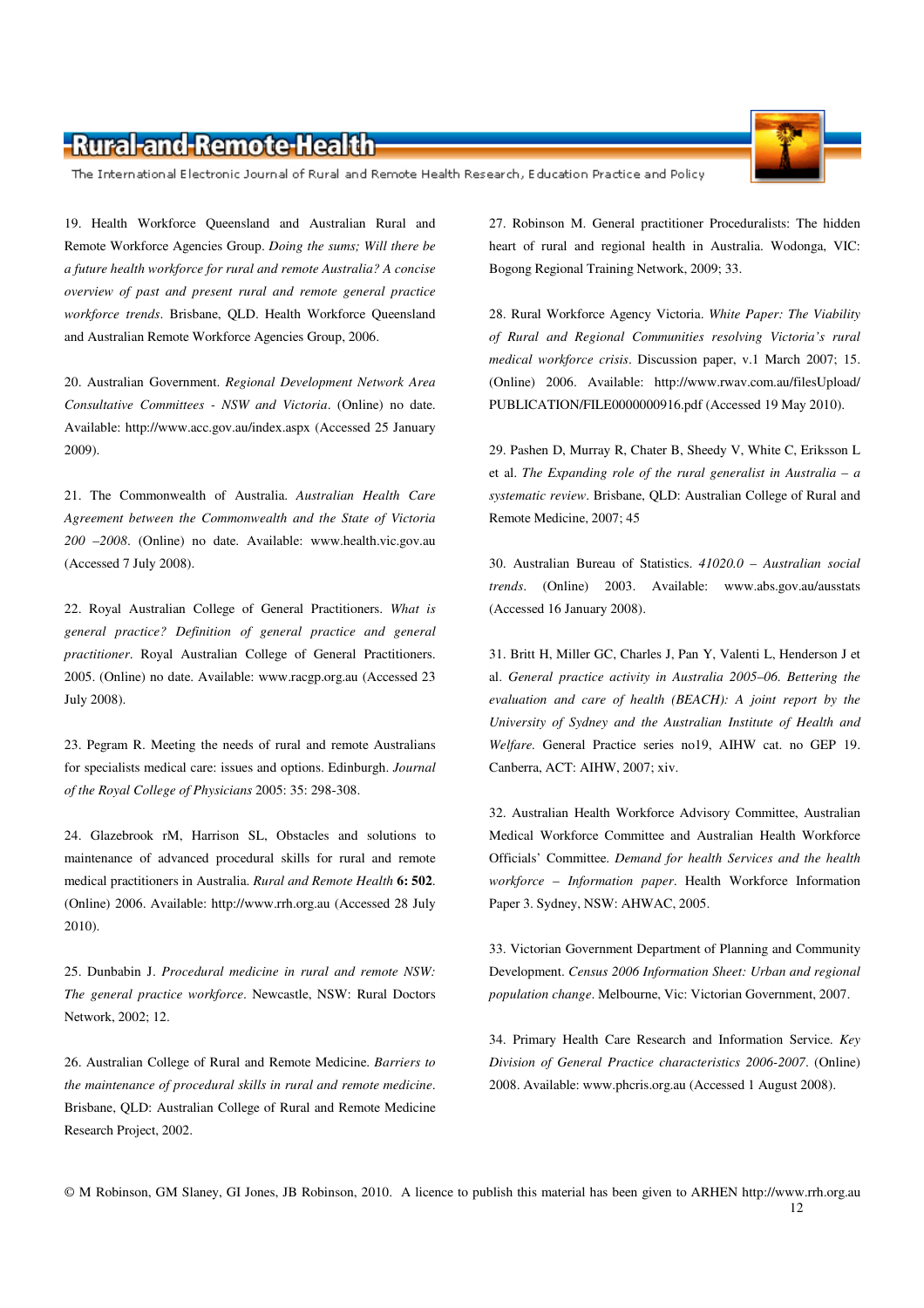The International Electronic Journal of Rural and Remote Health Research, Education Practice and Policy

19. Health Workforce Queensland and Australian Rural and Remote Workforce Agencies Group. *Doing the sums; Will there be a future health workforce for rural and remote Australia? A concise overview of past and present rural and remote general practice workforce trends*. Brisbane, QLD. Health Workforce Queensland and Australian Remote Workforce Agencies Group, 2006.

20. Australian Government. *Regional Development Network Area Consultative Committees - NSW and Victoria*. (Online) no date. Available: http://www.acc.gov.au/index.aspx (Accessed 25 January 2009).

21. The Commonwealth of Australia. *Australian Health Care Agreement between the Commonwealth and the State of Victoria 200 –2008*. (Online) no date. Available: www.health.vic.gov.au (Accessed 7 July 2008).

22. Royal Australian College of General Practitioners. *What is general practice? Definition of general practice and general practitioner*. Royal Australian College of General Practitioners. 2005. (Online) no date. Available: www.racgp.org.au (Accessed 23 July 2008).

23. Pegram R. Meeting the needs of rural and remote Australians for specialists medical care: issues and options. Edinburgh. *Journal of the Royal College of Physicians* 2005: 35: 298-308.

24. Glazebrook rM, Harrison SL, Obstacles and solutions to maintenance of advanced procedural skills for rural and remote medical practitioners in Australia. *Rural and Remote Health* **6: 502**. (Online) 2006. Available: http://www.rrh.org.au (Accessed 28 July 2010).

25. Dunbabin J. *Procedural medicine in rural and remote NSW: The general practice workforce*. Newcastle, NSW: Rural Doctors Network, 2002; 12.

26. Australian College of Rural and Remote Medicine. *Barriers to the maintenance of procedural skills in rural and remote medicine*. Brisbane, QLD: Australian College of Rural and Remote Medicine Research Project, 2002.

27. Robinson M. General practitioner Proceduralists: The hidden heart of rural and regional health in Australia. Wodonga, VIC: Bogong Regional Training Network, 2009; 33.

28. Rural Workforce Agency Victoria. *White Paper: The Viability of Rural and Regional Communities resolving Victoria's rural medical workforce crisis*. Discussion paper, v.1 March 2007; 15. (Online) 2006. Available: http://www.rwav.com.au/filesUpload/ PUBLICATION/FILE0000000916.pdf (Accessed 19 May 2010).

29. Pashen D, Murray R, Chater B, Sheedy V, White C, Eriksson L et al. *The Expanding role of the rural generalist in Australia – a systematic review*. Brisbane, QLD: Australian College of Rural and Remote Medicine, 2007; 45

30. Australian Bureau of Statistics. *41020.0 – Australian social trends*. (Online) 2003. Available: www.abs.gov.au/ausstats (Accessed 16 January 2008).

31. Britt H, Miller GC, Charles J, Pan Y, Valenti L, Henderson J et al. *General practice activity in Australia 2005–06. Bettering the evaluation and care of health (BEACH): A joint report by the University of Sydney and the Australian Institute of Health and Welfare.* General Practice series no19, AIHW cat. no GEP 19. Canberra, ACT: AIHW, 2007; xiv.

32. Australian Health Workforce Advisory Committee, Australian Medical Workforce Committee and Australian Health Workforce Officials' Committee. *Demand for health Services and the health workforce – Information paper*. Health Workforce Information Paper 3. Sydney, NSW: AHWAC, 2005.

33. Victorian Government Department of Planning and Community Development. *Census 2006 Information Sheet: Urban and regional population change*. Melbourne, Vic: Victorian Government, 2007.

34. Primary Health Care Research and Information Service. *Key Division of General Practice characteristics 2006-2007*. (Online) 2008. Available: www.phcris.org.au (Accessed 1 August 2008).